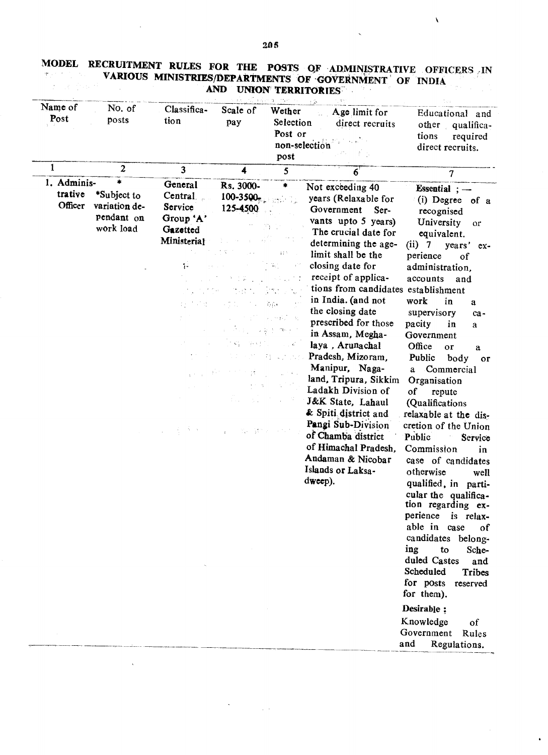|                                   |                                                              |                                                                        |                                                                                                                            | $\mathbf{q} = (m, m, m, \ldots)$                                                                                                               | - 13                                                                                                                                                                                                                                                                                                                                                                                                                                                                                                                                                                                                               |                                                                                                                                                                                                                                                                                                                                                                                                                                                                                                                                                                                                                                                                                                                                                                                                                                                         |
|-----------------------------------|--------------------------------------------------------------|------------------------------------------------------------------------|----------------------------------------------------------------------------------------------------------------------------|------------------------------------------------------------------------------------------------------------------------------------------------|--------------------------------------------------------------------------------------------------------------------------------------------------------------------------------------------------------------------------------------------------------------------------------------------------------------------------------------------------------------------------------------------------------------------------------------------------------------------------------------------------------------------------------------------------------------------------------------------------------------------|---------------------------------------------------------------------------------------------------------------------------------------------------------------------------------------------------------------------------------------------------------------------------------------------------------------------------------------------------------------------------------------------------------------------------------------------------------------------------------------------------------------------------------------------------------------------------------------------------------------------------------------------------------------------------------------------------------------------------------------------------------------------------------------------------------------------------------------------------------|
| Name of<br>Post                   | No. of<br>posts                                              | Classifica-<br>tion                                                    | Scale of<br>pay                                                                                                            | Wether<br>Selection<br>Post or<br>non-selection<br>post                                                                                        | Age limit for<br>direct recruits                                                                                                                                                                                                                                                                                                                                                                                                                                                                                                                                                                                   | Educational and<br>other qualifica-<br>tions<br>required<br>direct recruits.                                                                                                                                                                                                                                                                                                                                                                                                                                                                                                                                                                                                                                                                                                                                                                            |
| 1                                 | 2                                                            | 3                                                                      | 4                                                                                                                          | 5                                                                                                                                              | $6^{\circ}$                                                                                                                                                                                                                                                                                                                                                                                                                                                                                                                                                                                                        | 7                                                                                                                                                                                                                                                                                                                                                                                                                                                                                                                                                                                                                                                                                                                                                                                                                                                       |
| 1. Adminis-<br>trative<br>Officer | *<br>*Subject to<br>variation de-<br>pendant on<br>work load | General<br>Central.<br>Service<br>Group 'A'<br>Gazetted<br>Ministerial | Rs. 3000-<br>$100 - 3500$ <sub>m</sub><br>125-4500<br>上昇<br>2011年4月<br>てまし<br>(第68年7月)<br>$\pm 7$<br>Ë.<br>$\Delta \Delta$ | *<br>$\left( \begin{smallmatrix} 0 & 0 \\ 0 & 0 \end{smallmatrix} \right)$<br>$\mathcal{C}_{\mathcal{A}}$ , $\mathcal{A}$<br>医原子宫 医脑<br>深刻 こうか | Not exceeding 40<br>years (Relaxable for<br>Government<br>Ser-<br>vants upto 5 years)<br>The crucial date for<br>determining the age-<br>limit shall be the<br>closing date for<br>receipt of applica-<br>tions from candidates establishment<br>in India. (and not<br>the closing date<br>prescribed for those<br>in Assam, Megha-<br>laya, Arunachal<br>Pradesh, Mizoram,<br>Manipur, Naga-<br>land, Tripura, Sikkim<br>Ladakh Division of<br>J&K State, Lahaul<br>& Spiti district and<br>Pangi Sub-Division<br>of Chamba district<br>of Himachal Pradesh,<br>Andaman & Nicobar<br>Islands or Laksa-<br>dweep). | Essential $:-$<br>(i) Degree of a<br>recognised<br>University<br>or<br>equivalent.<br>$(ii)$ 7<br>years'<br>$ex-$<br>perience<br>of<br>administration.<br>accounts<br>and<br>work<br>in<br>a<br>supervisory<br>ca-<br>pacity<br>in<br>a<br>Government<br>Office<br>or<br>a<br>Public<br>body<br>or<br>Commercial<br>a<br>Organisation<br>0f<br>repute<br>(Qualifications<br>relaxable at the dis-<br>cretion of the Union<br>Public<br>Service<br>Commission<br>in<br>case of candidates<br>otherwise<br>well<br>qualified, in parti-<br>cular the qualifica-<br>tion regarding ex-<br>perience<br>is relax-<br>able in case<br>of<br>candidates belong-<br>ing<br>to<br>Sche-<br>duled Castes<br>and<br>Scheduled<br><b>Tribes</b><br>for posts<br>reserved<br>for them).<br>Desirable :<br>Knowledge<br>of<br>Government Rules<br>and<br>Regulations. |

## MODEL RECRUITMENT RULES FOR THE POSTS OF ADMINISTRATIVE OFFICERS IN VARIOUS MINISTRIES/DEPARTMENTS OF GOVERNMENT OF INDIA

 $\sim$ 

 $\mathbf{A}$ 

 $\bar{z}$ 

 $\sim 10$ 

 $\bar{\mathbf{v}}$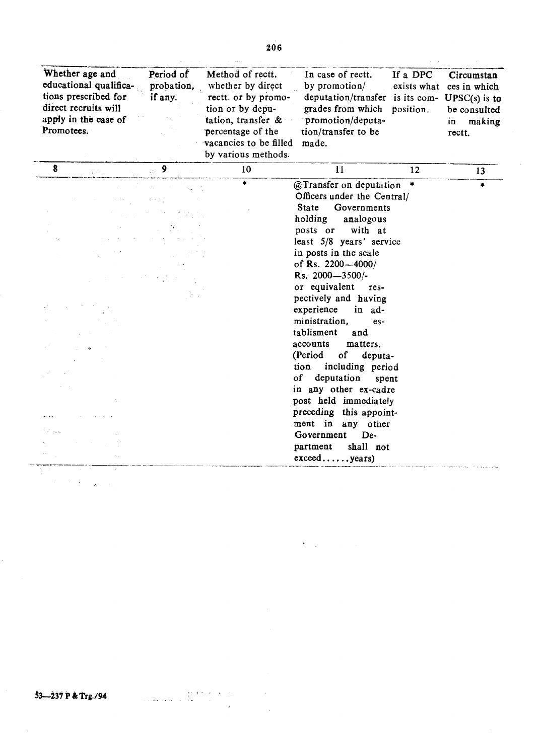| Whether age and<br>Period of<br>educational qualifica-<br>probation,<br>tions prescribed for<br>if any.<br>direct recruits will<br>apply in the case of<br>Promotees. | Method of rectt.<br>whether by direct<br>rectt. or by promo-<br>tion or by depu-<br>tation, transfer $\&$<br>percentage of the<br>vacancies to be filled<br>by various methods. | In case of rectt.<br>by promotion/<br>deputation/transfer is its com-<br>grades from which position.<br>promotion/deputa-<br>tion/transfer to be<br>made.                                                                                                                                                                                                                                                                                                                                                                                                                                                                     | If a DPC<br>exists what | Circumstan<br>ces in which<br>$UPSC(s)$ is to<br>be consulted<br>$\mathbf{in}$<br>making<br>rectt. |
|-----------------------------------------------------------------------------------------------------------------------------------------------------------------------|---------------------------------------------------------------------------------------------------------------------------------------------------------------------------------|-------------------------------------------------------------------------------------------------------------------------------------------------------------------------------------------------------------------------------------------------------------------------------------------------------------------------------------------------------------------------------------------------------------------------------------------------------------------------------------------------------------------------------------------------------------------------------------------------------------------------------|-------------------------|----------------------------------------------------------------------------------------------------|
| $\boldsymbol{8}$<br>$\epsilon$ 9                                                                                                                                      | 10                                                                                                                                                                              | 11                                                                                                                                                                                                                                                                                                                                                                                                                                                                                                                                                                                                                            | 12                      | 13                                                                                                 |
|                                                                                                                                                                       | $\ast$                                                                                                                                                                          | @Transfer on deputation *<br>Officers under the Central/<br>Governments<br><b>State</b><br>holding<br>analogous<br>posts or with at<br>least 5/8 years' service<br>in posts in the scale<br>of Rs. 2200-4000/<br>Rs. 2000-3500/-<br>or equivalent res-<br>pectively and having<br>experience<br>in ad-<br>ministration,<br>$es-$<br>tablisment<br>and<br>accounts<br>matters.<br>(Period<br>of deputa-<br>tion including period<br>of<br>deputation<br>spent<br>in any other ex-cadre<br>post held immediately<br>preceding this appoint-<br>ment in any other<br>Government<br>De-<br>shall not<br>partment<br>exceed years) |                         | á.                                                                                                 |

 $\mathcal{L}(\mathcal{A})$ 

 $\sim$   $\star$ J.

 $3 - 237$  P & Trg./94

الم المعاملي.<br>الرابط التي المتفاعليات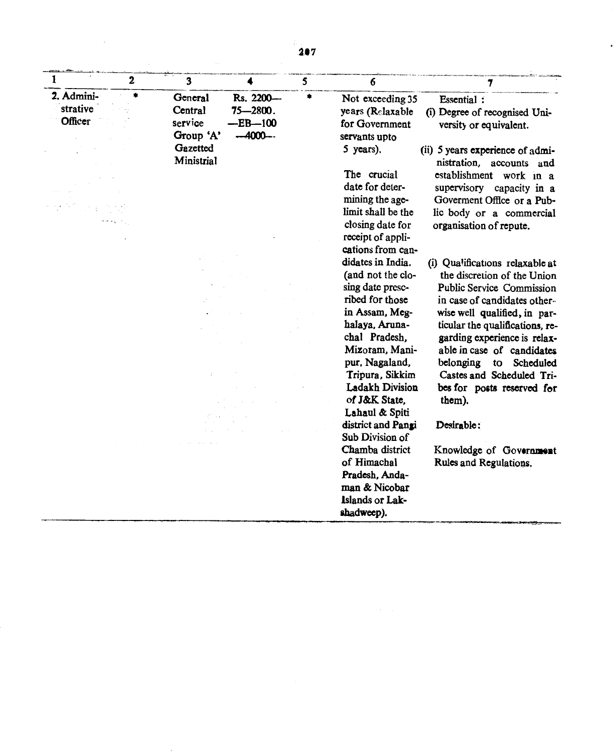| 1                                 | $\overline{2}$ | 3                                          |                                                     | 5 | 6                                                                                                                                                                                                                                                      | $\overline{7}$                                                                                                                                                                                                                                                                                                                                                        |
|-----------------------------------|----------------|--------------------------------------------|-----------------------------------------------------|---|--------------------------------------------------------------------------------------------------------------------------------------------------------------------------------------------------------------------------------------------------------|-----------------------------------------------------------------------------------------------------------------------------------------------------------------------------------------------------------------------------------------------------------------------------------------------------------------------------------------------------------------------|
| 2. Admini-<br>strative<br>Officer | ŧ              | General<br>Central<br>service<br>Group 'A' | Rs. 2200-<br>$75 - 2800$ .<br>$-EB-100$<br>$-4000-$ |   | Not exceeding 35<br>years (Relaxable<br>for Government<br>servants upto                                                                                                                                                                                | <b>Essential:</b><br>(i) Degree of recognised Uni-<br>versity or equivalent.                                                                                                                                                                                                                                                                                          |
|                                   |                | Gazetted<br>Ministrial                     |                                                     |   | 5 years).<br>The crucial<br>date for deter-<br>mining the age-<br>limit shall be the<br>closing date for<br>receipt of appli-<br>cations from can-                                                                                                     | (ii) 5 years experience of admi-<br>nistration, accounts and<br>establishment work in a<br>supervisory capacity in a<br>Goverment Office or a Pub-<br>lic body or a commercial<br>organisation of repute.                                                                                                                                                             |
|                                   |                |                                            |                                                     |   | didates in India.<br>(and not the clo-<br>sing date presc-<br>ribed for those<br>in Assam, Meg-<br>halaya, Aruna-<br>chal Pradesh,<br>Mizoram, Mani-<br>pur, Nagaland,<br>Tripura, Sikkim<br><b>Ladakh Division</b><br>of J&K State.<br>Lahaul & Spiti | (i) Qualifications relaxable at<br>the discretion of the Union<br><b>Public Service Commission</b><br>in case of candidates other-<br>wise well qualified, in par-<br>ticular the qualifications, re-<br>garding experience is relax-<br>able in case of candidates<br>belonging<br>to Scheduled<br>Castes and Scheduled Tri-<br>bes for posts reserved for<br>them). |
|                                   |                |                                            |                                                     |   | district and Pangi<br>Sub Division of<br>Chamba district<br>of Himachal<br>Pradesh, Anda-<br>man & Nicobar<br>Islands or Lak-<br>shadweep).                                                                                                            | Desirable:<br>Knowledge of Government<br>Rules and Regulations.                                                                                                                                                                                                                                                                                                       |

 $\sim 10$ 

 $\overline{\phantom{a}}$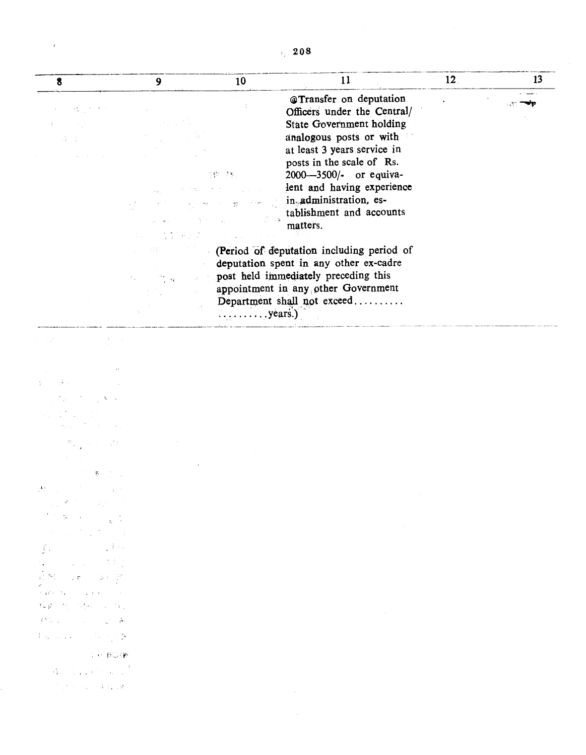|  | . 208 |  |  |
|--|-------|--|--|
|  |       |  |  |

 $\epsilon$  ,  $\epsilon$ 

| 8                                                                                                                                                                                                                                                                                                                                                                                                                                                                                                                                                                                                                      | 9                                                                  | 10                                                                                                                                                                                                                                                                                                                                                                                                                                                                                                                                                          | 11                                                                                                                                                                                                                                                                                                                                                                                                                                                                                                              | 12 <sub>1</sub> | 13 |
|------------------------------------------------------------------------------------------------------------------------------------------------------------------------------------------------------------------------------------------------------------------------------------------------------------------------------------------------------------------------------------------------------------------------------------------------------------------------------------------------------------------------------------------------------------------------------------------------------------------------|--------------------------------------------------------------------|-------------------------------------------------------------------------------------------------------------------------------------------------------------------------------------------------------------------------------------------------------------------------------------------------------------------------------------------------------------------------------------------------------------------------------------------------------------------------------------------------------------------------------------------------------------|-----------------------------------------------------------------------------------------------------------------------------------------------------------------------------------------------------------------------------------------------------------------------------------------------------------------------------------------------------------------------------------------------------------------------------------------------------------------------------------------------------------------|-----------------|----|
| <b>35</b> (1)<br>and the<br>第三期                                                                                                                                                                                                                                                                                                                                                                                                                                                                                                                                                                                        | 中心 的复数医乳头<br>$\omega = \omega^{-1} \exp(\omega)$<br>ing a constant | $\mathcal{W}$ . $\mathcal{W}$<br><b>Contractor</b><br>الروميات<br>$\overline{\mathcal{D}}^{\mathcal{C}}$<br>$\sim 500$<br>$\Delta_{\rm T}$ .<br>$\label{eq:2.1} \mathcal{L}_{\text{max}} = \frac{1}{2} \sum_{i=1}^{n} \frac{1}{2} \sum_{i=1}^{n} \frac{1}{2} \sum_{i=1}^{n} \frac{1}{2} \sum_{i=1}^{n} \frac{1}{2} \sum_{i=1}^{n} \frac{1}{2} \sum_{i=1}^{n} \frac{1}{2} \sum_{i=1}^{n} \frac{1}{2} \sum_{i=1}^{n} \frac{1}{2} \sum_{i=1}^{n} \frac{1}{2} \sum_{i=1}^{n} \frac{1}{2} \sum_{i=1}^{n} \frac{1}{2} \sum_{i=$<br>$\ldots \ldots \ldots$ years.) | @Transfer on deputation<br>Officers under the Central/<br><b>State Government holding</b><br>analogous posts or with<br>at least 3 years service in<br>posts in the scale of Rs.<br>2000-3500/- or equiva-<br>lent and having experience<br>in administration, es-<br>tablishment and accounts<br>matters.<br>(Period of deputation including period of<br>deputation spent in any other ex-cadre<br>post held immediately preceding this<br>appointment in any other Government<br>Department shall not exceed |                 |    |
|                                                                                                                                                                                                                                                                                                                                                                                                                                                                                                                                                                                                                        |                                                                    |                                                                                                                                                                                                                                                                                                                                                                                                                                                                                                                                                             |                                                                                                                                                                                                                                                                                                                                                                                                                                                                                                                 |                 |    |
|                                                                                                                                                                                                                                                                                                                                                                                                                                                                                                                                                                                                                        |                                                                    |                                                                                                                                                                                                                                                                                                                                                                                                                                                                                                                                                             |                                                                                                                                                                                                                                                                                                                                                                                                                                                                                                                 |                 |    |
| 19 I<br>一本一人                                                                                                                                                                                                                                                                                                                                                                                                                                                                                                                                                                                                           |                                                                    |                                                                                                                                                                                                                                                                                                                                                                                                                                                                                                                                                             |                                                                                                                                                                                                                                                                                                                                                                                                                                                                                                                 |                 |    |
| $\mathcal{R}^{\text{max}}_{\text{max}}$ , where $\mathcal{R}^{\text{max}}_{\text{max}}$                                                                                                                                                                                                                                                                                                                                                                                                                                                                                                                                |                                                                    |                                                                                                                                                                                                                                                                                                                                                                                                                                                                                                                                                             |                                                                                                                                                                                                                                                                                                                                                                                                                                                                                                                 |                 |    |
| アンあったく                                                                                                                                                                                                                                                                                                                                                                                                                                                                                                                                                                                                                 |                                                                    |                                                                                                                                                                                                                                                                                                                                                                                                                                                                                                                                                             |                                                                                                                                                                                                                                                                                                                                                                                                                                                                                                                 |                 |    |
| $F_{\rm L}$<br><b>Contract Contract</b><br>$\sim 10^{18}$<br>in the same page<br>アーダー 3<br>$\label{eq:3} \mathcal{L}=\left\{ \mathcal{L}_{\mathcal{A}}\left(\mathcal{L}_{\mathcal{A}}\right) \right\} \left(\mathcal{L}_{\mathcal{A}}\left(\mathcal{L}_{\mathcal{A}}\right)\right) \left(\mathcal{L}_{\mathcal{A}}\left(\mathcal{L}_{\mathcal{A}}\right)\right) \left(\mathcal{L}_{\mathcal{A}}\left(\mathcal{L}_{\mathcal{A}}\right)\right) \left(\mathcal{L}_{\mathcal{A}}\left(\mathcal{L}_{\mathcal{A}}\right)\right) \left(\mathcal{L}_{\mathcal{A}}\left(\mathcal{L}_{\mathcal{A}}\right)\right) \left(\mathcal$ |                                                                    |                                                                                                                                                                                                                                                                                                                                                                                                                                                                                                                                                             |                                                                                                                                                                                                                                                                                                                                                                                                                                                                                                                 |                 |    |
| $\int_{\mathbb{R}^d} \varphi(x) \, dx = \int_{\mathbb{R}^d} \varphi(x) \, dx \leq \int_{\mathbb{R}^d} \varphi(x) \, dx$<br>$\mathcal{C}(\mathbb{N})$ , $\mathcal{C}(\mathbb{N})$ , $\mathcal{C}(\mathbb{N})$ , $\mathcal{C}(\mathbb{N})$<br>र<br>जिम्में के प्राप्त करने<br>$\mathcal{C}_\bullet \mathfrak{p} = \mathcal{C}_\bullet \cup \mathcal{C}_\bullet \cup \ldots \cup \mathcal{C}_\bullet$                                                                                                                                                                                                                     |                                                                    |                                                                                                                                                                                                                                                                                                                                                                                                                                                                                                                                                             |                                                                                                                                                                                                                                                                                                                                                                                                                                                                                                                 |                 |    |
| $\label{eq:2.1} \int \mathcal{V}(\mathbb{D}_{\mathbb{D},\mathbb{D}}) = \mathcal{V}(\mathbb{D}_{\mathbb{D},\mathbb{D}}) = \mathcal{V}(\mathbb{D}_{\mathbb{D},\mathbb{D}}) = \frac{1}{\Theta^2}$                                                                                                                                                                                                                                                                                                                                                                                                                         |                                                                    |                                                                                                                                                                                                                                                                                                                                                                                                                                                                                                                                                             | $\label{eq:2.1} \mathcal{L}(\mathcal{L}^{\text{max}}_{\mathcal{L}}(\mathcal{L}^{\text{max}}_{\mathcal{L}})) \leq \mathcal{L}(\mathcal{L}^{\text{max}}_{\mathcal{L}}(\mathcal{L}^{\text{max}}_{\mathcal{L}})) \leq \mathcal{L}(\mathcal{L}^{\text{max}}_{\mathcal{L}}(\mathcal{L}^{\text{max}}_{\mathcal{L}}))$                                                                                                                                                                                                  |                 |    |
| $\{ \phi_{k+1}, \phi_{k+1} \}$ . The set $\Phi$                                                                                                                                                                                                                                                                                                                                                                                                                                                                                                                                                                        |                                                                    |                                                                                                                                                                                                                                                                                                                                                                                                                                                                                                                                                             |                                                                                                                                                                                                                                                                                                                                                                                                                                                                                                                 |                 |    |
| The BOW                                                                                                                                                                                                                                                                                                                                                                                                                                                                                                                                                                                                                |                                                                    |                                                                                                                                                                                                                                                                                                                                                                                                                                                                                                                                                             |                                                                                                                                                                                                                                                                                                                                                                                                                                                                                                                 |                 |    |
| $\label{eq:3} \mathcal{A}_{\mathcal{A}}=\left\{ \begin{array}{ll} 0 & \text{if} & \text{if} & \text{if} \\ 0 & \text{if} & \text{if} & \text{if} \end{array} \right\}$                                                                                                                                                                                                                                                                                                                                                                                                                                                 |                                                                    |                                                                                                                                                                                                                                                                                                                                                                                                                                                                                                                                                             | $\mathcal{L}_{\text{max}}$ and $\mathcal{L}_{\text{max}}$ . The $\mathcal{L}_{\text{max}}$                                                                                                                                                                                                                                                                                                                                                                                                                      |                 |    |
| $\mathcal{F}^{\mathcal{A}}(\mathcal{F}^{\mathcal{A}})$ , $\mathcal{F}^{\mathcal{A}}_{\mathcal{A}}$ , $\mathcal{A}(\mathcal{F}^{\mathcal{A}}_{\mathcal{A}})$ , $\mathcal{Q}$                                                                                                                                                                                                                                                                                                                                                                                                                                            |                                                                    |                                                                                                                                                                                                                                                                                                                                                                                                                                                                                                                                                             |                                                                                                                                                                                                                                                                                                                                                                                                                                                                                                                 |                 |    |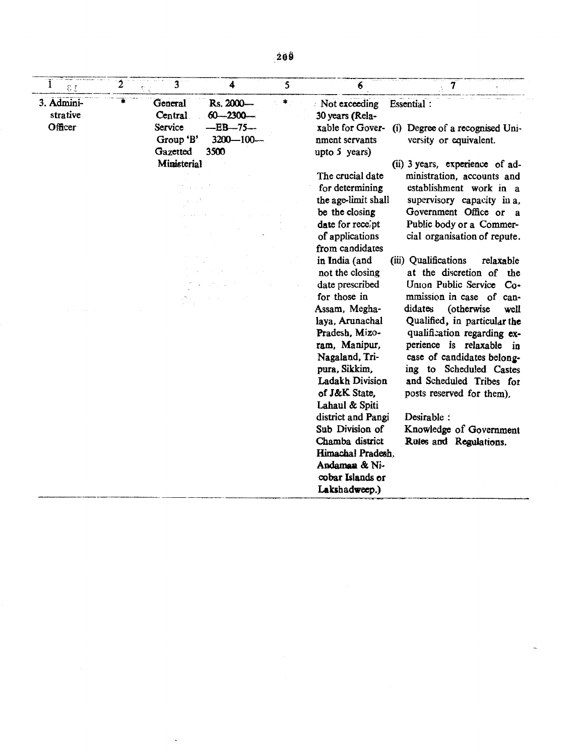| 2<br>εr                                | 3                                                                     | 4                                                                 | 5 | 6                                                                                                                                                                                                                                                                                                                                                                                                                                                                                                                                                                         | $\overline{\mathbf{7}}$                                                                                                                                                                                                                                                                                                                                                                                                                                                                                                                                                                                                                                                                                                              |
|----------------------------------------|-----------------------------------------------------------------------|-------------------------------------------------------------------|---|---------------------------------------------------------------------------------------------------------------------------------------------------------------------------------------------------------------------------------------------------------------------------------------------------------------------------------------------------------------------------------------------------------------------------------------------------------------------------------------------------------------------------------------------------------------------------|--------------------------------------------------------------------------------------------------------------------------------------------------------------------------------------------------------------------------------------------------------------------------------------------------------------------------------------------------------------------------------------------------------------------------------------------------------------------------------------------------------------------------------------------------------------------------------------------------------------------------------------------------------------------------------------------------------------------------------------|
| ¥<br>3. Admini-<br>strative<br>Officer | General<br>Central<br>Service<br>Group 'B'<br>Gazetted<br>Ministerial | Rs. 2000-<br>$60 - 2300 -$<br>$-EB-75-$<br>$3200 - 100 -$<br>3500 | ۰ | Not exceeding<br>30 years (Rela-<br>xable for Gover-<br>nment servants<br>upto 5 years)<br>The crucial date<br>for determining<br>the age-limit shall<br>be the closing<br>date for recept<br>of applications<br>from candidates<br>in India (and<br>not the closing<br>date prescribed<br>for those in<br>Assam, Megha-<br>laya, Arunachal<br>Pradesh, Mizo-<br>ram, Manipur,<br>Nagaland, Tri-<br>pura, Sikkim,<br>Ladakh Division<br>of J&K State,<br>Lahaul & Spiti<br>district and Pangi<br>Sub Division of<br>Chamba district<br>Himachal Pradesh.<br>Andaman & Ni- | Essential:<br>(i) Degree of a recognised Uni-<br>versity or equivalent.<br>(ii) 3 years, experience of ad-<br>ministration, accounts and<br>establishment work in a<br>supervisory capacity in a,<br>Government Office or a<br>Public body or a Commer-<br>cial organisation of repute.<br>(iii) Qualifications<br>relaxable<br>at the discretion of the<br>Union Public Service Co-<br>mmission in case of can-<br>didates<br>(otherwise<br>well<br>Qualified, in particular the<br>qualification regarding ex-<br>perience is relaxable<br>in<br>case of candidates belong-<br>ing to Scheduled Castes<br>and Scheduled Tribes for<br>posts reserved for them).<br>Desirable:<br>Knowledge of Government<br>Rules and Regulations. |

 $\mathcal{L}^{\text{max}}$  .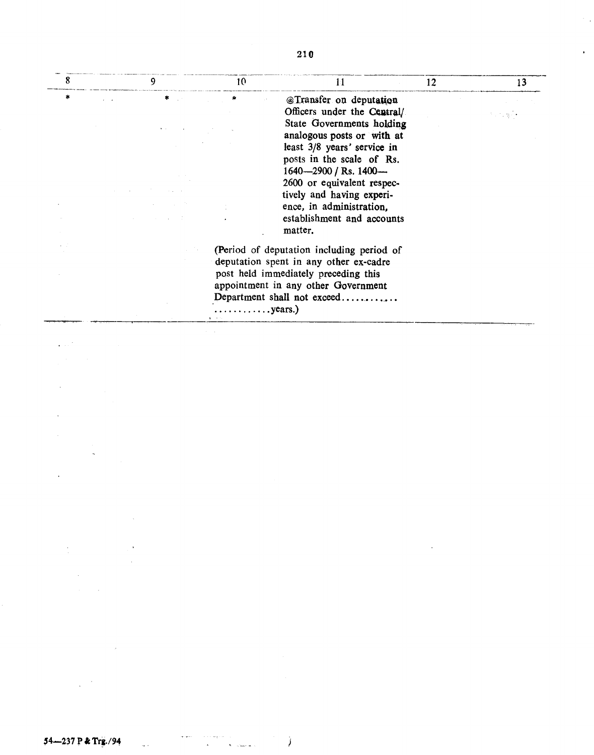|   | 9 | 10 <sup>°</sup>                       | 11                                        | 12 | 13 |
|---|---|---------------------------------------|-------------------------------------------|----|----|
| * |   |                                       | @Transfer on deputation                   |    |    |
|   |   |                                       | Officers under the Central/               |    |    |
|   |   |                                       | State Governments holding                 |    |    |
|   |   |                                       | analogous posts or with at                |    |    |
|   |   |                                       | least 3/8 years' service in               |    |    |
|   |   |                                       | posts in the scale of Rs.                 |    |    |
|   |   |                                       | 1640 $-2900$ / Rs. 1400 $-$               |    |    |
|   |   |                                       | 2600 or equivalent respec-                |    |    |
|   |   |                                       | tively and having experi-                 |    |    |
|   |   |                                       | ence, in administration,                  |    |    |
|   |   |                                       | establishment and accounts                |    |    |
|   |   |                                       | matter.                                   |    |    |
|   |   |                                       | (Period of deputation including period of |    |    |
|   |   |                                       | deputation spent in any other ex-cadre    |    |    |
|   |   |                                       | post held immediately preceding this      |    |    |
|   |   |                                       | appointment in any other Government       |    |    |
|   |   |                                       | Department shall not exceed               |    |    |
|   |   | $\ldots \ldots \ldots \ldots$ years.) |                                           |    |    |
|   |   |                                       |                                           |    |    |

 $\sim 10^{11}$ 

 $\sim$   $_{\star}$ 

 $\hat{\mathbf{r}}$ 

 $\frac{1}{2} \frac{1}{2} \frac{1}{2} \frac{1}{2} \frac{1}{2}$ 

 $\label{eq:2} \mathcal{L} = \frac{1}{2} \sum_{i=1}^n \frac{1}{2} \sum_{i=1}^n \frac{1}{2} \sum_{i=1}^n \frac{1}{2} \sum_{i=1}^n \frac{1}{2} \sum_{i=1}^n \frac{1}{2} \sum_{i=1}^n \frac{1}{2} \sum_{i=1}^n \frac{1}{2} \sum_{i=1}^n \frac{1}{2} \sum_{i=1}^n \frac{1}{2} \sum_{i=1}^n \frac{1}{2} \sum_{i=1}^n \frac{1}{2} \sum_{i=1}^n \frac{1}{2} \sum_{i=1}$ 

 $\label{eq:2} \frac{1}{\sqrt{2}}\sum_{i=1}^n\frac{1}{\sqrt{2}}\sum_{i=1}^n\frac{1}{\sqrt{2}}\sum_{i=1}^n\frac{1}{\sqrt{2}}\sum_{i=1}^n\frac{1}{\sqrt{2}}\sum_{i=1}^n\frac{1}{\sqrt{2}}\sum_{i=1}^n\frac{1}{\sqrt{2}}\sum_{i=1}^n\frac{1}{\sqrt{2}}\sum_{i=1}^n\frac{1}{\sqrt{2}}\sum_{i=1}^n\frac{1}{\sqrt{2}}\sum_{i=1}^n\frac{1}{\sqrt{2}}\sum_{i=1}^n\frac{1$ 

 $\mathcal{L}^{\text{max}}_{\text{max}}$ 

 $\mathcal{L}^{\text{max}}_{\text{max}}$  and  $\mathcal{L}^{\text{max}}_{\text{max}}$ 

 $\sim$   $\omega$ 

 $\label{eq:2} \begin{array}{ll} \mathbb{E}[\mathbb{E}[\mathbb{E}[\mathbb{E}[\mathbb{E}[\mathbb{E}[\mathbb{E}[\mathbb{E}[\mathbb{E}[\mathbb{E}[\mathbb{E}[\mathbb{E}[\mathbb{E}[\mathbb{E}[\mathbb{E}[\mathbb{E}[\mathbb{E}[\mathbb{E}[\mathbb{E}[\mathbb{E}[\mathbb{E}[\mathbb{E}[\mathbb{E}[\mathbb{E}[\mathbb{E}[\mathbb{E}[\mathbb{E}[\mathbb{E}[\mathbb{E}[\mathbb{E}[\mathbb{E}[\mathbb{E}[\mathbb{E}[\mathbb{E}[\math$ 

 $\sim$   $\sim$ 

 $\Delta\lambda^2$ 

 $\label{eq:2.1} \frac{1}{2}\sum_{i=1}^n\frac{1}{2}\left(\frac{1}{2}\sum_{i=1}^n\frac{1}{2}\sum_{i=1}^n\frac{1}{2}\sum_{i=1}^n\frac{1}{2}\sum_{i=1}^n\frac{1}{2}\sum_{i=1}^n\frac{1}{2}\sum_{i=1}^n\frac{1}{2}\sum_{i=1}^n\frac{1}{2}\sum_{i=1}^n\frac{1}{2}\sum_{i=1}^n\frac{1}{2}\sum_{i=1}^n\frac{1}{2}\sum_{i=1}^n\frac{1}{2}\sum_{i=1}^n\frac{1}{2}\sum$ 

 $\mathcal{L}^{\text{max}}_{\text{max}}$  and  $\mathcal{L}^{\text{max}}_{\text{max}}$ 

 $\sim 10^{-10}$  $\label{eq:2.1} \frac{1}{\sqrt{2}}\int_{\mathbb{R}^{2}}\frac{1}{\sqrt{2}}\left(\frac{1}{\sqrt{2}}\right)^{2}dx\leq\frac{1}{2}\int_{\mathbb{R}^{2}}\frac{1}{\sqrt{2}}\left(\frac{1}{\sqrt{2}}\right)^{2}dx$ 

 $\Delta \sim 10^{11}$ 

 $\mathcal{O}(\mathcal{O}(\log n))$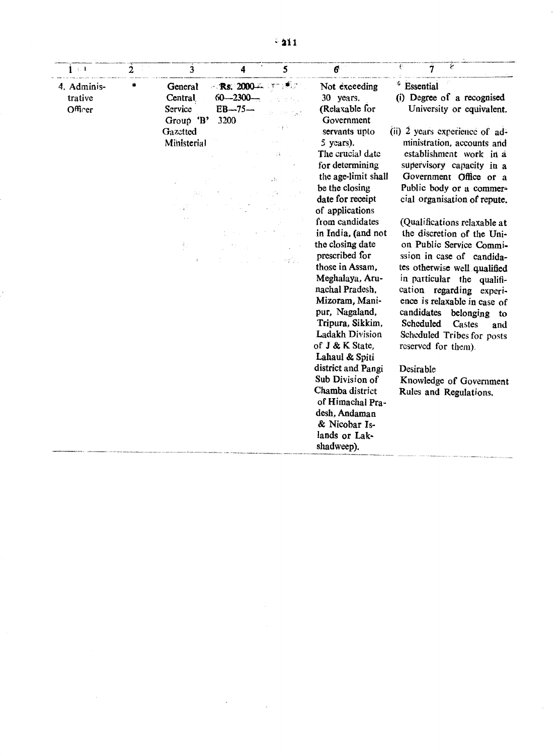| 1.1                               | $\overline{2}$ | 3                                                                                              | 4                                                        | 5                                   | $6\phantom{1}$                                                                                                                                                                                                                                                                                                                                                                                                                                                                                                                                                                                                           | ε<br>€<br>7                                                                                                                                                                                                                                                                                                                                                                                                                                                                                                                                                                                                                                                                                                                   |
|-----------------------------------|----------------|------------------------------------------------------------------------------------------------|----------------------------------------------------------|-------------------------------------|--------------------------------------------------------------------------------------------------------------------------------------------------------------------------------------------------------------------------------------------------------------------------------------------------------------------------------------------------------------------------------------------------------------------------------------------------------------------------------------------------------------------------------------------------------------------------------------------------------------------------|-------------------------------------------------------------------------------------------------------------------------------------------------------------------------------------------------------------------------------------------------------------------------------------------------------------------------------------------------------------------------------------------------------------------------------------------------------------------------------------------------------------------------------------------------------------------------------------------------------------------------------------------------------------------------------------------------------------------------------|
| 4. Adminis-<br>trative<br>Officer | *              | General<br>Central<br>Service<br>Group 'B'<br>Gazetted<br>Ministerial<br>すいし<br>$\mathbb{R}^+$ | $-$ Rs. 2000 $-$<br>$60 - 2300 -$<br>$EB - 75 -$<br>3200 | 4 F 7<br>大重市<br>άì.<br>A.<br>mtiku. | Not exceeding<br>30 years.<br>(Relaxable for<br>Government<br>servants upto<br>5 years).<br>The crucial date<br>for determining<br>the age-limit shall<br>be the closing<br>date for receipt<br>of applications<br>from candidates<br>in India, (and not<br>the closing date<br>prescribed for<br>those in Assam.<br>Meghalaya, Aru-<br>nachal Pradesh.<br>Mizoram, Mani-<br>pur, Nagaland,<br>Tripura, Sikkim,<br>Ladakh Division<br>of J & K State,<br>Lahaul & Spiti<br>district and Pangi<br>Sub Division of<br>Chamba district<br>of Himachal Pra-<br>desh, Andaman<br>& Nicobar Is-<br>lands or Lak-<br>shadweep). | $*$ Essential<br>(i) Degree of a recognised<br>University or equivalent.<br>(ii) 2 years experience of ad-<br>ministration, accounts and<br>establishment work in a<br>supervisory capacity in a<br>Government Office or a<br>Public body or a commer-<br>cial organisation of repute.<br>(Qualifications relaxable at<br>the discretion of the Uni-<br>on Public Service Commi-<br>ssion in case of candida-<br>tes otherwise well qualified<br>in particular the qualifi-<br>cation regarding experi-<br>ence is relaxable in case of<br>candidates<br>belonging<br>to<br>Scheduled<br>Castes<br>and<br>Scheduled Tribes for posts<br>reserved for them).<br>Desirable<br>Knowledge of Government<br>Rules and Regulations. |

 $\bar{A}$ 

 $\sim 100$ 

 $\ddot{\phantom{a}}$ 

 $\mathbf{r}$ 

 $\hat{\mathcal{A}}$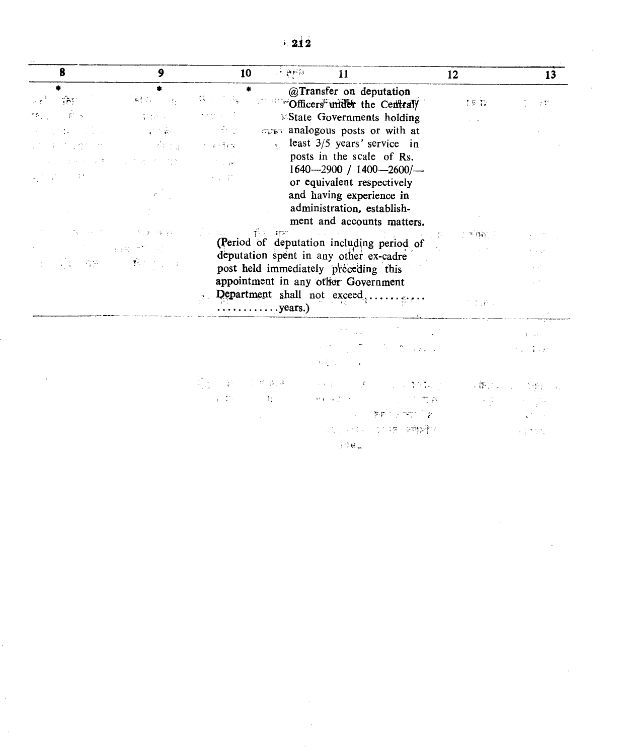| 8                                                                                                                                                                                                    | 9                                                                                                                                                                                                                                                                                                                                                                                                                                                                                                                                                                                                                                                                                                                                                                                                                                                                                                                                                                   | 10                                                                                                                                                                                                                                      | $\mu \in \mathfrak{B}(\mathcal{H})$ .<br>11                                                                                                                                                                                                                                                                                                                                                                                                                                                                                                  | 12                                                                                                                                                                                                                                                                          | 13                                                                                                                                 |
|------------------------------------------------------------------------------------------------------------------------------------------------------------------------------------------------------|---------------------------------------------------------------------------------------------------------------------------------------------------------------------------------------------------------------------------------------------------------------------------------------------------------------------------------------------------------------------------------------------------------------------------------------------------------------------------------------------------------------------------------------------------------------------------------------------------------------------------------------------------------------------------------------------------------------------------------------------------------------------------------------------------------------------------------------------------------------------------------------------------------------------------------------------------------------------|-----------------------------------------------------------------------------------------------------------------------------------------------------------------------------------------------------------------------------------------|----------------------------------------------------------------------------------------------------------------------------------------------------------------------------------------------------------------------------------------------------------------------------------------------------------------------------------------------------------------------------------------------------------------------------------------------------------------------------------------------------------------------------------------------|-----------------------------------------------------------------------------------------------------------------------------------------------------------------------------------------------------------------------------------------------------------------------------|------------------------------------------------------------------------------------------------------------------------------------|
| 第一解 10<br>作行 一向 ディー<br>19 - 1949 - 대통령 - 1999 - 1994년 - 1995년 10월 10일<br>대통령<br>2010年5月27日<br>(2) 我们的研究上述, 人名英格兰人姓氏<br>经营产 经费用<br>and the state of the state of the state of<br>海に関する項目 (の) 不難な めいしょ | $\label{eq:3.1} \left\langle \left\langle \mathbf{S}_{\mathbf{S}}\right\rangle \right\rangle \left\langle \mathbf{S}_{\mathbf{S}}\right\rangle =\left\langle \left\langle \mathbf{S}_{\mathbf{S}}\right\rangle \right\rangle \left\langle \mathbf{S}_{\mathbf{S}}\right\rangle \left\langle \mathbf{S}_{\mathbf{S}}\right\rangle \left\langle \mathbf{S}_{\mathbf{S}}\right\rangle \left\langle \mathbf{S}_{\mathbf{S}}\right\rangle \left\langle \mathbf{S}_{\mathbf{S}}\right\rangle \left\langle \mathbf{S}_{\mathbf{S}}\right\rangle \left\langle \mathbf{S}_{\mathbf{$<br>$\label{eq:2.1} \mathcal{F}_\lambda(\xi)=\frac{1}{2}\sum_{\alpha\in\mathbb{Z}}\left\{ \begin{array}{ll} \mathcal{F}_\lambda(\xi)=\frac{1}{2}\sum_{\alpha\in\mathbb{Z}}\left\{ \begin{array}{ll} \mathcal{F}_\lambda(\xi)=\frac{1}{2}\right\} & \text{if } \lambda\in\mathbb{Z}, \end{array} \right. \end{array}$<br>$\mathcal{A} \subseteq \mathcal{A}$<br>A construction of the SWA | *<br>$\{x_1, \ldots, x_n\}$<br>李俊 (1998) "大学大学"<br>$\vec{r}$ , $\vec{p}$ , $\frac{3}{2}$ , $\vec{p}$ ,<br>$\mathcal{L}^{\text{max}}_{\text{max}}$ , where $\mathcal{L}^{\text{max}}_{\text{max}}$<br>(1992年)<br>ा <sub>क</sub> ा की माम | @Transfer on deputation<br>Cofficers <sup>F</sup> under the Centraly<br><b>Existate Governments holding</b><br>men analogous posts or with at<br>least $3/5$ years' service in<br>posts in the scale of Rs.<br>$1640 - 2900$ / $1400 - 2600$ $-$<br>or equivalent respectively<br>and having experience in<br>administration, establish-<br>ment and accounts matters.<br>the contract of the contract of the<br>(Period of deputation including period of<br>deputation spent in any other ex-cadre<br>post held immediately preceding this |                                                                                                                                                                                                                                                                             | $TST_{\rm F} \approx$<br>$\sim 10$<br>$\alpha$ , $\alpha$ , $\beta$<br>小牛体的人<br>$\gamma_{\rm eff} \approx 0.02$<br>$\sim 10^{-11}$ |
|                                                                                                                                                                                                      |                                                                                                                                                                                                                                                                                                                                                                                                                                                                                                                                                                                                                                                                                                                                                                                                                                                                                                                                                                     | Department shall not exceed<br>$\ldots$ years.)                                                                                                                                                                                         | appointment in any other Government                                                                                                                                                                                                                                                                                                                                                                                                                                                                                                          |                                                                                                                                                                                                                                                                             | ta San<br>$\mathcal{F}=\frac{1}{2}(\frac{1}{2}\vec{F})/\omega$                                                                     |
|                                                                                                                                                                                                      |                                                                                                                                                                                                                                                                                                                                                                                                                                                                                                                                                                                                                                                                                                                                                                                                                                                                                                                                                                     |                                                                                                                                                                                                                                         | 医麻痹 医阿尔巴氏征 医阿尔巴氏征                                                                                                                                                                                                                                                                                                                                                                                                                                                                                                                            | $\mathcal{A}$ is the same point of the second part of $\mathcal{A}$<br>医细胞的 医下颌的 医白细胞的                                                                                                                                                                                      | $\sim 40$ km s $^{-1}$<br>计算子程序                                                                                                    |
|                                                                                                                                                                                                      |                                                                                                                                                                                                                                                                                                                                                                                                                                                                                                                                                                                                                                                                                                                                                                                                                                                                                                                                                                     |                                                                                                                                                                                                                                         |                                                                                                                                                                                                                                                                                                                                                                                                                                                                                                                                              | 我的,我们会告诉他们的一个样子,还有一个小人都都是一个人 <b>都</b> 是一个人的朋友。<br>新特别的 Harry Command Common Life 有新的 Command South<br>$\mathcal{L}(\mathcal{L}) = \mathcal{L}(\mathbf{F}(\mathbf{F}^{\mathrm{T}})) \times \mathcal{L}(\mathbf{F}^{\mathrm{T}}) \times \mathcal{L}(\mathbf{F}^{\mathrm{T}})$ | and the control of the state                                                                                                       |

 $\hat{\mathcal{A}}$ 

Selection of the entitle of  $\rightarrow$  1775  $\overline{1}$ 

 $\sim$ 

i ade⊑i

 $\sim$ 

 $\cdot$  212